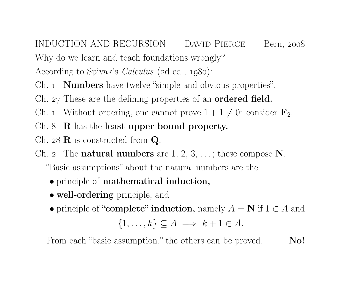INDUCTION AND RECURSION DAVID PIERCE Bern, 2008 Why do we learn and teach foundations wrongly?

According to Spivak's *Calculus* (2d ed., 1980):

- Ch. **1 Numbers** have twelve "simple and obvious properties".
- Ch.  $27$  These are the defining properties of an **ordered field.**
- Ch. 1 Without ordering, one cannot prove  $1 + 1 \neq 0$ : consider  $\mathbf{F}_2$ .
- Ch.  $8$  **R** has the **least upper bound property.**
- Ch.  $28 \mathbf{R}$  is constructed from **Q**.
- Ch. 2 The **natural numbers** are  $1, 2, 3, \ldots$ ; these compose **N**.

"Basic assumptions" about the natural numbers are the

- principle of **mathematical induction**,
- well-ordering principle, and
- principle of "complete" induction, namely  $A = N$  if  $1 \in A$  and

$$
\{1,\ldots,k\} \subseteq A \implies k+1 \in A.
$$

From each "basic assumption," the others can be proved. No!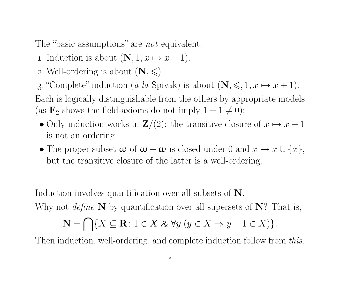The "basic assumptions" are *not* equivalent.

- 1. Induction is about  $(N, 1, x \mapsto x + 1)$ .
- 2. Well-ordering is about  $(N, \leqslant)$ .

3. "Complete" induction (à la Spivak) is about  $(\mathbf{N}, \leq, 1, x \mapsto x + 1)$ . Each is logically distinguishable from the others by appropriate models (as  $\mathbf{F}_2$  shows the field-axioms do not imply  $1 + 1 \neq 0$ ):

- Only induction works in  $\mathbf{Z}/(2)$ : the transitive closure of  $x \mapsto x+1$ is not an ordering.
- The proper subset  $\omega$  of  $\omega + \omega$  is closed under 0 and  $x \mapsto x \cup \{x\},$ but the transitive closure of the latter is <sup>a</sup> well-ordering.

Induction involves quantification over all subsets of N.

Why not *define*  $N$  by quantification over all supersets of  $N$ ? That is,

$$
\mathbf{N} = \bigcap \{ X \subseteq \mathbf{R} \colon 1 \in X \& \forall y \ (y \in X \Rightarrow y + 1 \in X) \}.
$$

Then induction, well-ordering, and complete induction follow from *this*.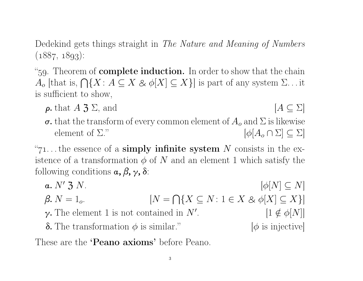Dedekind gets things straight in The Nature and Meaning of Numbers  $(1887, 1893)$ :

 $\degree$  59. Theorem of **complete induction.** In order to show that the chain  $A_o$  [that is,  $\bigcap \{X : A \subseteq X \otimes \phi[X] \subseteq X\}$ ] is part of any system  $\Sigma$ ... it is sufficient to show,

 $\rho$ **.** that  $A \mathcal{Z} \Sigma$ , and  $[A \subseteq \Sigma]$ **σ.** that the transform of every common element of  $A_0$  and  $\Sigma$  is likewise element of  $\Sigma$ ."  $\left[\phi[A_o \cap \Sigma] \subseteq \Sigma\right]$ 

" $71$ ... the essence of a simply infinite system N consists in the existence of a transformation  $\phi$  of N and an element 1 which satisfy the following conditions  $\alpha$ ,  $\beta$ ,  $\gamma$ ,  $\delta$ :

 $\alpha$ . N'  $\mathfrak{Z}$  N.  $\left[\phi\right[N]\subseteq N\right]$  $\beta$ .  $N = 1_o$ .  $[N = \bigcap \{X \subseteq N : 1 \in X \otimes \phi[X] \subseteq X\}]$ γ. The element 1 is not contained in N'.  $[1 \notin \phi[N]]$ **δ.** The transformation  $\phi$  is similar."  $\phi$  is injective

These are the 'Peano axioms' before Peano.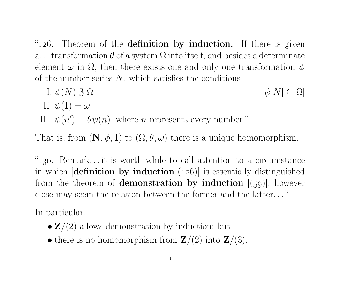" $126$ . Theorem of the **definition by induction.** If there is given a...transformation  $\theta$  of a system  $\Omega$  into itself, and besides a determinate element  $\omega$  in  $\Omega$ , then there exists one and only one transformation  $\psi$ of the number-series  $N$ , which satisfies the conditions

I.  $\psi(N)$  3  $\Omega$  [ $\psi[N] \subseteq \Omega$ ] II.  $\psi(1) = \omega$ III.  $\psi(n') = \theta \psi(n)$ , where *n* represents every number."

That is, from  $(\mathbf{N}, \phi, 1)$  to  $(\Omega, \theta, \omega)$  there is a unique homomorphism.

"130. Remark... it is worth while to call attention to a circumstance in which  $\left[$ **definition by induction** (126) $\left|$  is essentially distinguished from the theorem of **demonstration by induction**  $[(59)]$ , however close may seem the relation between the former and the latter. . . "

In particular,

- $\mathbf{Z}/(2)$  allows demonstration by induction; but
- there is no homomorphism from  $\mathbf{Z}/(2)$  into  $\mathbf{Z}/(3)$ .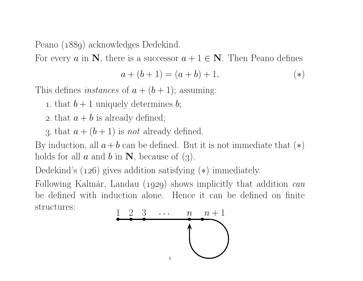Peano (1889) acknowledges Dedekind.

For every a in  $\mathbf N$ , there is a successor  $a + 1 \in \mathbf N$ . Then Peano defines

$$
a + (b + 1) = (a + b) + 1.
$$
 (\*)

This defines *instances* of  $a + (b + 1)$ ; assuming:

- 1. that  $b + 1$  uniquely determines b;
- 2. that  $a + b$  is already defined;
- 3. that  $a + (b + 1)$  is not already defined.

By induction, all  $a + b$  can be defined. But it is not immediate that  $(*)$ holds for all  $a$  and  $b$  in  $\mathbf N$ , because of (3).

Dedekind's  $(126)$  gives addition satisfying  $(*)$  immediately.

Following Kalmár, Landau (1929) shows implicitly that addition  $can$ be defined with induction alone. Hence it can be defined on finite structures: Property alone. Hence it<br>  $\begin{array}{ccccccccc}\n1 & 2 & 3 & \cdots & n \\
\end{array}$ 

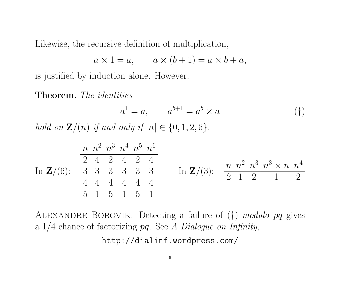Likewise, the recursive definition of multiplication,

$$
a \times 1 = a, \qquad a \times (b+1) = a \times b + a,
$$

is justified by induction alone. However:

Theorem. The identities

$$
a^1 = a, \qquad a^{b+1} = a^b \times a \tag{\dagger}
$$

hold on  $\mathbf{Z}/(n)$  if and only if  $|n| \in \{0, 1, 2, 6\}$ .

In <sup>Z</sup>/(6): <sup>n</sup> <sup>n</sup><sup>2</sup> <sup>n</sup><sup>3</sup> <sup>n</sup><sup>4</sup> <sup>n</sup><sup>5</sup> <sup>n</sup><sup>6</sup> 2 4 2 4 2 4 3 3 3 3 3 3 4 4 4 4 4 4 5 1 5 1 5 1 In <sup>Z</sup>/(3): <sup>n</sup> <sup>n</sup><sup>2</sup> <sup>n</sup><sup>3</sup> <sup>n</sup><sup>3</sup> <sup>×</sup> <sup>n</sup> <sup>n</sup><sup>4</sup> <sup>2</sup> <sup>1</sup> <sup>2</sup> <sup>1</sup> <sup>2</sup>

ALEXANDRE BOROVIK: Detecting a failure of  $(†)$  modulo pq gives a  $1/4$  chance of factorizing  $pq$ . See A Dialogue on Infinity,

http://dialinf.wordpress.com/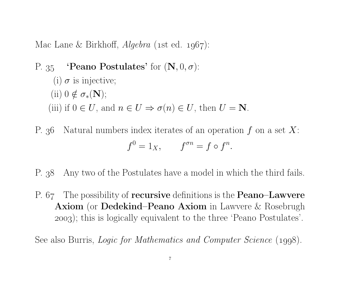Mac Lane & Birkhoff,  $Algebra$  (1st ed. 1967):

- P.  $35$  **'Peano Postulates'** for  $(\mathbf{N}, 0, \sigma)$ : (i)  $\sigma$  is injective; (ii)  $0 \notin \sigma_*(\mathbf{N});$ (iii) if  $0 \in U$ , and  $n \in U \Rightarrow \sigma(n) \in U$ , then  $U = \mathbb{N}$ .
- P.  $36$  Natural numbers index iterates of an operation f on a set X:  $f^0 = 1_X$ ,  $f^{\sigma n} = f \circ f^n$ .
- P. 38 Any two of the Postulates have a model in which the third fails.
- P.  $67$  The possibility of recursive definitions is the **Peano–Lawvere** Axiom (or Dedekind–Peano Axiom in Lawvere & Rosebrugh ); this is logically equivalent to the three 'Peano Postulates'.

See also Burris, *Logic for Mathematics and Computer Science* (1998).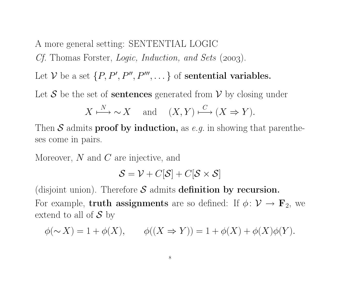A more general setting: SENTENTIAL LOGIC

Cf. Thomas Forster, *Logic, Induction, and Sets* (2003).

Let V be a set  $\{P, P', P'', P''', \dots\}$  of sentential variables.

Let S be the set of **sentences** generated from  $\mathcal V$  by closing under

$$
X \xrightarrow{N} \sim X
$$
 and  $(X, Y) \xrightarrow{C} (X \Rightarrow Y)$ .

Then S admits proof by induction, as e.g. in showing that parentheses come in pairs.

Moreover,  $N$  and  $C$  are injective, and

$$
\mathcal{S} = \mathcal{V} + C[\mathcal{S}] + C[\mathcal{S} \times \mathcal{S}]
$$

(disjoint union). Therefore S admits definition by recursion. For example, **truth assignments** are so defined: If  $\phi: \mathcal{V} \to \mathbf{F}_2$ , we extend to all of  $S$  by

$$
\phi(\sim X) = 1 + \phi(X), \qquad \phi((X \Rightarrow Y)) = 1 + \phi(X) + \phi(X)\phi(Y).
$$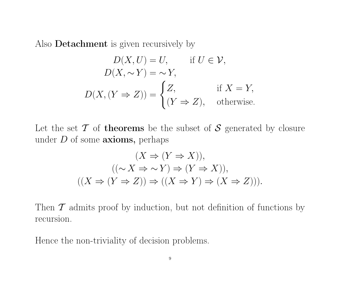Also Detachment is given recursively by

$$
D(X, U) = U, \quad \text{if } U \in \mathcal{V},
$$
  
\n
$$
D(X, \sim Y) = \sim Y,
$$
  
\n
$$
D(X, (Y \Rightarrow Z)) = \begin{cases} Z, & \text{if } X = Y, \\ (Y \Rightarrow Z), & \text{otherwise.} \end{cases}
$$

Let the set  $\mathcal T$  of theorems be the subset of  $\mathcal S$  generated by closure under  $D$  of some **axioms**, perhaps

$$
(X \Rightarrow (Y \Rightarrow X)),
$$
  

$$
((\sim X \Rightarrow \sim Y) \Rightarrow (Y \Rightarrow X)),
$$
  

$$
((X \Rightarrow (Y \Rightarrow Z)) \Rightarrow ((X \Rightarrow Y) \Rightarrow (X \Rightarrow Z))).
$$

Then  $\mathcal T$  admits proof by induction, but not definition of functions by recursion.

Hence the non-triviality of decision problems.